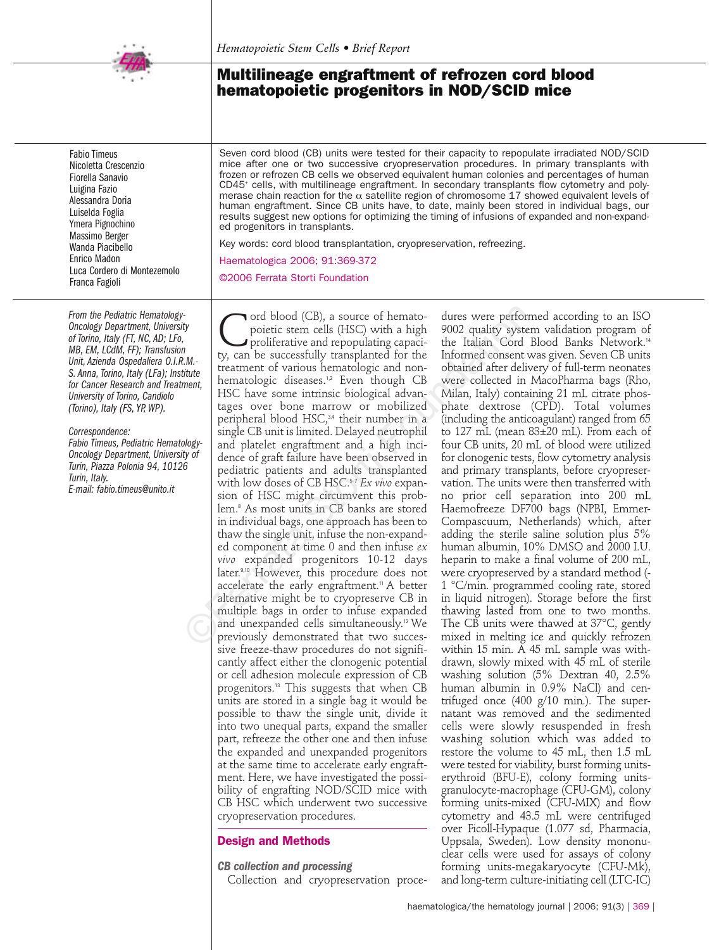

# **Multilineage engraftment of refrozen cord blood hematopoietic progenitors in NOD/SCID mice**

Fabio Timeus Nicoletta Crescenzio Fiorella Sanavio Luigina Fazio Alessandra Doria Luiselda Foglia Ymera Pignochino Massimo Berger Wanda Piacibello Enrico Madon Luca Cordero di Montezemolo Franca Fagioli

*From the Pediatric Hematology-Oncology Department, University of Torino, Italy (FT, NC, AD; LFo, MB, EM, LCdM, FF); Transfusion Unit, Azienda Ospedaliera O.I.R.M.- S. Anna, Torino, Italy (LFa); Institute for Cancer Research and Treatment, University of Torino, Candiolo (Torino), Italy (FS, YP, WP).*

*Correspondence:* 

*Fabio Timeus, Pediatric Hematology-Oncology Department, University of Turin, Piazza Polonia 94, 10126 Turin, Italy. E-mail: fabio.timeus@unito.it*

Seven cord blood (CB) units were tested for their capacity to repopulate irradiated NOD/SCID mice after one or two successive cryopreservation procedures. In primary transplants with frozen or refrozen CB cells we observed equivalent human colonies and percentages of human CD45+ cells, with multilineage engraftment. In secondary transplants flow cytometry and polymerase chain reaction for the  $\alpha$  satellite region of chromosome 17 showed equivalent levels of human engraftment. Since CB units have, to date, mainly been stored in individual bags, our results suggest new options for optimizing the timing of infusions of expanded and non-expanded progenitors in transplants.

Key words: cord blood transplantation, cryopreservation, refreezing. Haematologica 2006; 91:369-372

©2006 Ferrata Storti Foundation

Cord blood (CB), a source of hemato-<br>proliferative and repopulating capaci-<br>ty can be successfully transplanted for the poietic stem cells (HSC) with a high ty, can be successfully transplanted for the treatment of various hematologic and nonhematologic diseases.<sup>1,2</sup> Even though CB HSC have some intrinsic biological advantages over bone marrow or mobilized peripheral blood HSC,<sup>3,4</sup> their number in a single CB unit is limited. Delayed neutrophil and platelet engraftment and a high incidence of graft failure have been observed in pediatric patients and adults transplanted with low doses of CB HSC.5-7 *Ex vivo* expansion of HSC might circumvent this problem.<sup>8</sup> As most units in CB banks are stored in individual bags, one approach has been to thaw the single unit, infuse the non-expanded component at time 0 and then infuse *ex vivo* expanded progenitors 10-12 days later.9,10 However, this procedure does not accelerate the early engraftment.<sup>11</sup> A better alternative might be to cryopreserve CB in multiple bags in order to infuse expanded and unexpanded cells simultaneously.12 We previously demonstrated that two successive freeze-thaw procedures do not significantly affect either the clonogenic potential or cell adhesion molecule expression of CB progenitors.<sup>13</sup> This suggests that when CB units are stored in a single bag it would be possible to thaw the single unit, divide it into two unequal parts, expand the smaller part, refreeze the other one and then infuse the expanded and unexpanded progenitors at the same time to accelerate early engraftment. Here, we have investigated the possibility of engrafting NOD/SCID mice with CB HSC which underwent two successive cryopreservation procedures. Fracta Storting and blood (CB), a source of hemato-<br>
fracture were performed the propulating capacities and repopulating capacities and repopulating capacities<br>
Multiple tracture in the successfully transplanted for the I

## **Design and Methods**

*CB collection and processing* Collection and cryopreservation procedures were performed according to an ISO 9002 quality system validation program of the Italian Cord Blood Banks Network.<sup>14</sup> Informed consent was given. Seven CB units obtained after delivery of full-term neonates were collected in MacoPharma bags (Rho, Milan, Italy) containing 21 mL citrate phosphate dextrose (CPD). Total volumes (including the anticoagulant) ranged from 65 to 127 mL (mean 83±20 mL). From each of four CB units, 20 mL of blood were utilized for clonogenic tests, flow cytometry analysis and primary transplants, before cryopreservation. The units were then transferred with no prior cell separation into 200 mL Haemofreeze DF700 bags (NPBI, Emmer-Compascuum, Netherlands) which, after adding the sterile saline solution plus 5% human albumin, 10% DMSO and 2000 I.U. heparin to make a final volume of 200 mL, were cryopreserved by a standard method (- 1 °C/min. programmed cooling rate, stored in liquid nitrogen). Storage before the first thawing lasted from one to two months. The CB units were thawed at 37°C, gently mixed in melting ice and quickly refrozen within 15 min. A 45 mL sample was withdrawn, slowly mixed with 45 mL of sterile washing solution (5% Dextran 40, 2.5% human albumin in 0.9% NaCl) and centrifuged once (400 g/10 min.). The supernatant was removed and the sedimented cells were slowly resuspended in fresh washing solution which was added to restore the volume to 45 mL, then 1.5 mL were tested for viability, burst forming unitserythroid (BFU-E), colony forming unitsgranulocyte-macrophage (CFU-GM), colony forming units-mixed (CFU-MIX) and flow cytometry and 43.5 mL were centrifuged over Ficoll-Hypaque (1.077 sd, Pharmacia, Uppsala, Sweden). Low density mononuclear cells were used for assays of colony forming units-megakaryocyte (CFU-Mk), and long-term culture-initiating cell (LTC-IC)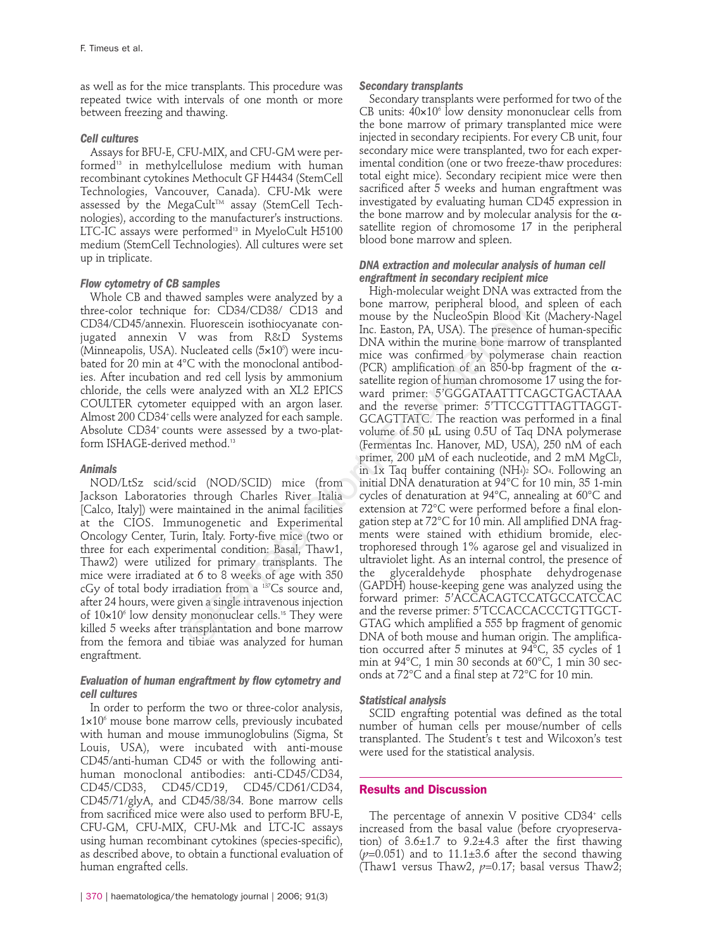as well as for the mice transplants. This procedure was repeated twice with intervals of one month or more between freezing and thawing.

### *Cell cultures*

Assays for BFU-E, CFU-MIX, and CFU-GM were performed<sup>13</sup> in methylcellulose medium with human recombinant cytokines Methocult GF H4434 (StemCell Technologies, Vancouver, Canada). CFU-Mk were assessed by the MegaCult™ assay (StemCell Technologies), according to the manufacturer's instructions. LTC-IC assays were performed<sup>13</sup> in MyeloCult H5100 medium (StemCell Technologies). All cultures were set up in triplicate.

## *Flow cytometry of CB samples*

Whole CB and thawed samples were analyzed by a three-color technique for: CD34/CD38/ CD13 and CD34/CD45/annexin. Fluorescein isothiocyanate conjugated annexin V was from R&D Systems (Minneapolis, USA). Nucleated cells (5×10<sup>5</sup>) were incubated for 20 min at 4°C with the monoclonal antibodies. After incubation and red cell lysis by ammonium chloride, the cells were analyzed with an XL2 EPICS COULTER cytometer equipped with an argon laser. Almost 200 CD34<sup>+</sup> cells were analyzed for each sample. Absolute CD34<sup>+</sup> counts were assessed by a two-platform ISHAGE-derived method.<sup>13</sup>

## *Animals*

NOD/LtSz scid/scid (NOD/SCID) mice (from Jackson Laboratories through Charles River Italia [Calco, Italy]) were maintained in the animal facilities at the CIOS. Immunogenetic and Experimental Oncology Center, Turin, Italy. Forty-five mice (two or three for each experimental condition: Basal, Thaw1, Thaw2) were utilized for primary transplants. The mice were irradiated at 6 to 8 weeks of age with 350 cGy of total body irradiation from a 137Cs source and, after 24 hours, were given a single intravenous injection of  $10\times10^6$  low density mononuclear cells.<sup>15</sup> They were killed 5 weeks after transplantation and bone marrow from the femora and tibiae was analyzed for human engraftment.

## *Evaluation of human engraftment by flow cytometry and cell cultures*

In order to perform the two or three-color analysis,  $1\times10<sup>6</sup>$  mouse bone marrow cells, previously incubated with human and mouse immunoglobulins (Sigma, St Louis, USA), were incubated with anti-mouse CD45/anti-human CD45 or with the following antihuman monoclonal antibodies: anti-CD45/CD34, CD45/CD33, CD45/CD19, CD45/CD61/CD34, CD45/71/glyA, and CD45/38/34. Bone marrow cells from sacrificed mice were also used to perform BFU-E, CFU-GM, CFU-MIX, CFU-Mk and LTC-IC assays using human recombinant cytokines (species-specific), as described above, to obtain a functional evaluation of human engrafted cells.

#### *Secondary transplants*

Secondary transplants were performed for two of the CB units:  $40 \times 10^6$  low density mononuclear cells from the bone marrow of primary transplanted mice were injected in secondary recipients. For every CB unit, four secondary mice were transplanted, two for each experimental condition (one or two freeze-thaw procedures: total eight mice). Secondary recipient mice were then sacrificed after 5 weeks and human engraftment was investigated by evaluating human CD45 expression in the bone marrow and by molecular analysis for the  $\alpha$ satellite region of chromosome 17 in the peripheral blood bone marrow and spleen.

#### *DNA extraction and molecular analysis of human cell engraftment in secondary recipient mice*

High-molecular weight DNA was extracted from the bone marrow, peripheral blood, and spleen of each mouse by the NucleoSpin Blood Kit (Machery-Nagel Inc. Easton, PA, USA). The presence of human-specific DNA within the murine bone marrow of transplanted mice was confirmed by polymerase chain reaction (PCR) amplification of an 850-bp fragment of the  $\alpha$ satellite region of human chromosome 17 using the forward primer: 5'GGGATAATTTCAGCTGACTAAA and the reverse primer: 5'TTCCGTTTAGTTAGGT-GCAGTTATC. The reaction was performed in a final volume of 50 µL using 0.5U of Taq DNA polymerase (Fermentas Inc. Hanover, MD, USA), 250 nM of each primer, 200 µM of each nucleotide, and 2 mM MgCl2, in 1x Taq buffer containing (NH4)<sup>2</sup> SO4. Following an initial DNA denaturation at 94°C for 10 min, 35 1-min cycles of denaturation at 94°C, annealing at 60°C and extension at 72°C were performed before a final elongation step at 72°C for 10 min. All amplified DNA fragments were stained with ethidium bromide, electrophoresed through 1% agarose gel and visualized in ultraviolet light. As an internal control, the presence of the glyceraldehyde phosphate dehydrogenase (GAPDH) house-keeping gene was analyzed using the forward primer: 5'ACCACAGTCCATGCCATCCAC and the reverse primer: 5'TCCACCACCCTGTTGCT-GTAG which amplified a 555 bp fragment of genomic DNA of both mouse and human origin. The amplification occurred after 5 minutes at  $94^{\circ}$ C, 35 cycles of 1 min at 94°C, 1 min 30 seconds at 60°C, 1 min 30 seconds at 72°C and a final step at 72°C for 10 min. e for: CD34/CD38/ CD13 and<br>
invouse by the NucleoSpin Blood F<br>
INtorescent isothiocyante con-<br>
Inc. Easton, PA, USA). The presenct<br>
V was from R&D Systems<br>
DNA within the murine bone mare<br>
"C with the monoclonal antibod-<br>

#### *Statistical analysis*

SCID engrafting potential was defined as the total number of human cells per mouse/number of cells transplanted. The Student's t test and Wilcoxon's test were used for the statistical analysis.

#### **Results and Discussion**

The percentage of annexin V positive  $CD34<sup>+</sup>$  cells increased from the basal value (before cryopreservation) of  $3.6\pm1.7$  to  $9.2\pm4.3$  after the first thawing  $(p=0.051)$  and to 11.1 $\pm$ 3.6 after the second thawing (Thaw1 versus Thaw2,  $p=0.17$ ; basal versus Thaw2;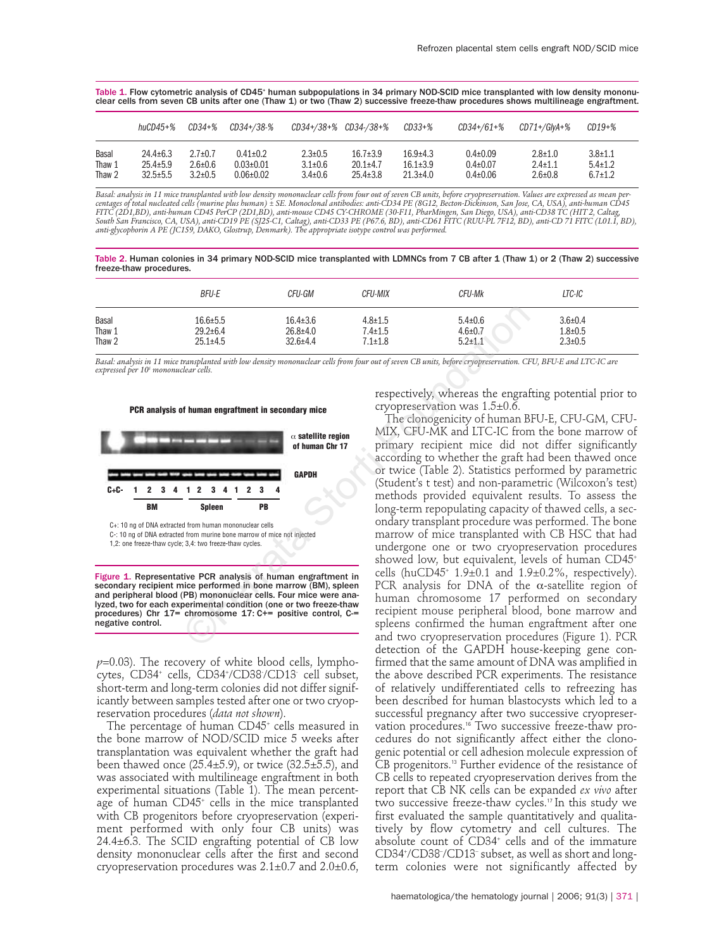Table 1. Flow cytometric analysis of CD45<sup>+</sup> human subpopulations in 34 primary NOD-SCID mice transplanted with low density mononuclear cells from seven CB units after one (Thaw 1) or two (Thaw 2) successive freeze-thaw procedures shows multilineage engraftment.

|        | huCD45+%       | CD34+%        | CD34+/38-%      | CD34+/38+% CD34-/38+% |                | CD33+%         | CD34+/61+%     | CD71+/GlvA+%  | $CD19+%$      |
|--------|----------------|---------------|-----------------|-----------------------|----------------|----------------|----------------|---------------|---------------|
| Basal  | $24.4 \pm 6.3$ | $2.7 \pm 0.7$ | $0.41 \pm 0.2$  | $2.3 \pm 0.5$         | $16.7 \pm 3.9$ | $16.9{\pm}4.3$ | $0.4 \pm 0.09$ | $2.8 \pm 1.0$ | $3.8 \pm 1.1$ |
| Thaw 1 | $25.4 \pm 5.9$ | $2.6 \pm 0.6$ | $0.03 \pm 0.01$ | $3.1 \pm 0.6$         | $20.1 + 4.7$   | $16.1 \pm 3.9$ | $0.4 \pm 0.07$ | $2.4 \pm 1.1$ | $5.4 \pm 1.2$ |
| Thaw 2 | $32.5 \pm 5.5$ | $3.2 \pm 0.5$ | $0.06 \pm 0.02$ | $3.4 \pm 0.6$         | $25.4 \pm 3.8$ | $21.3 \pm 4.0$ | $0.4 \pm 0.06$ | $2.6 \pm 0.8$ | $6.7 \pm 1.2$ |

Basal: analysis in 11 mice transplanted with low density mononuclear cells from four out of seven CB units, before cryopreservation. Values are expressed as mean per-<br>centages of total nucleated cells (murine plus human) ± *anti-glycophorin A PE (JC159, DAKO, Glostrup, Denmark). The appropriate isotype control was performed.*

Table 2. Human colonies in 34 primary NOD-SCID mice transplanted with LDMNCs from 7 CB after 1 (Thaw 1) or 2 (Thaw 2) successive freeze-thaw procedures.

|                 | <b>BFU-E</b>                     | CFU-GM                           | CFU-MIX                        | CFU-Mk                         | LTC-IC                         |
|-----------------|----------------------------------|----------------------------------|--------------------------------|--------------------------------|--------------------------------|
| Basal<br>Thaw 1 | $16.6 \pm 5.5$<br>$29.2 \pm 6.4$ | $16.4 \pm 3.6$<br>$26.8 \pm 4.0$ | $4.8 \pm 1.5$<br>$7.4 \pm 1.5$ | $5.4 \pm 0.6$<br>$4.6 \pm 0.7$ | $3.6 \pm 0.4$<br>$1.8 \pm 0.5$ |
| Thaw 2          | $25.1 \pm 4.5$                   | $32.6 \pm 4.4$                   | $7.1 \pm 1.8$                  | $5.2 \pm 1.1$                  | $2.3 \pm 0.5$                  |

*Basal: analysis in 11 mice transplanted with low density mononuclear cells from four out of seven CB units, before cryopreservation. CFU, BFU-E and LTC-IC are expressed per 105 mononuclear cells.*





C-: 10 ng of DNA extracted from murine bone marrow of mice not injected

1,2: one freeze-thaw cycle; 3,4: two freeze-thaw cycles.

Figure 1. Representative PCR analysis of human engraftment in secondary recipient mice performed in bone marrow (BM), spleen and peripheral blood (PB) mononuclear cells. Four mice were analyzed, two for each experimental condition (one or two freeze-thaw procedures) Chr 17= chromosome 17: C+= positive control, C-= negative control.

 $p=0.03$ ). The recovery of white blood cells, lymphocytes, CD34+ cells, CD34+ /CD38- /CD13- cell subset, short-term and long-term colonies did not differ significantly between samples tested after one or two cryopreservation procedures (*data not shown*).

The percentage of human CD45<sup>+</sup> cells measured in the bone marrow of NOD/SCID mice 5 weeks after transplantation was equivalent whether the graft had been thawed once  $(25.4 \pm 5.9)$ , or twice  $(32.5 \pm 5.5)$ , and was associated with multilineage engraftment in both experimental situations (Table 1). The mean percentage of human CD45<sup>+</sup> cells in the mice transplanted with CB progenitors before cryopreservation (experiment performed with only four CB units) was  $24.4\pm6.3$ . The SCID engrafting potential of CB low density mononuclear cells after the first and second cryopreservation procedures was  $2.1 \pm 0.7$  and  $2.0 \pm 0.6$ , respectively, whereas the engrafting potential prior to cryopreservation was 1.5±0.6.

The clonogenicity of human BFU-E, CFU-GM, CFU-MIX, CFU-MK and LTC-IC from the bone marrow of primary recipient mice did not differ significantly according to whether the graft had been thawed once or twice (Table 2). Statistics performed by parametric (Student's t test) and non-parametric (Wilcoxon's test) methods provided equivalent results. To assess the long-term repopulating capacity of thawed cells, a secondary transplant procedure was performed. The bone marrow of mice transplanted with CB HSC that had undergone one or two cryopreservation procedures showed low, but equivalent, levels of human CD45+ cells (huCD45<sup>+</sup> 1.9 $\pm$ 0.1 and 1.9 $\pm$ 0.2%, respectively). PCR analysis for DNA of the  $\alpha$ -satellite region of human chromosome 17 performed on secondary recipient mouse peripheral blood, bone marrow and spleens confirmed the human engraftment after one and two cryopreservation procedures (Figure 1). PCR detection of the GAPDH house-keeping gene confirmed that the same amount of DNA was amplified in the above described PCR experiments. The resistance of relatively undifferentiated cells to refreezing has been described for human blastocysts which led to a successful pregnancy after two successive cryopreservation procedures.<sup>16</sup> Two successive freeze-thaw procedures do not significantly affect either the clonogenic potential or cell adhesion molecule expression of CB progenitors.<sup>13</sup> Further evidence of the resistance of CB cells to repeated cryopreservation derives from the report that CB NK cells can be expanded *ex vivo* after two successive freeze-thaw cycles.17 In this study we first evaluated the sample quantitatively and qualitatively by flow cytometry and cell cultures. The absolute count of CD34<sup>+</sup> cells and of the immature CD34+ /CD38– /CD13– subset, as well as short and longterm colonies were not significantly affected by 16.645.5 16.443.6 4841.5 5 440.6 29.246.4 26.844.0 7.441.5 4.640.6 29.246.4 26.844.0 7.441.5 4.640.7 25.114.5 4.640.7 25.114.5 4.640.7 25.114.5 4.640.7 25.114.5 4.640.7 25.114.8 5.241.1 26.44  $\tau$ .111.8 5.241.1 26.47 26.4